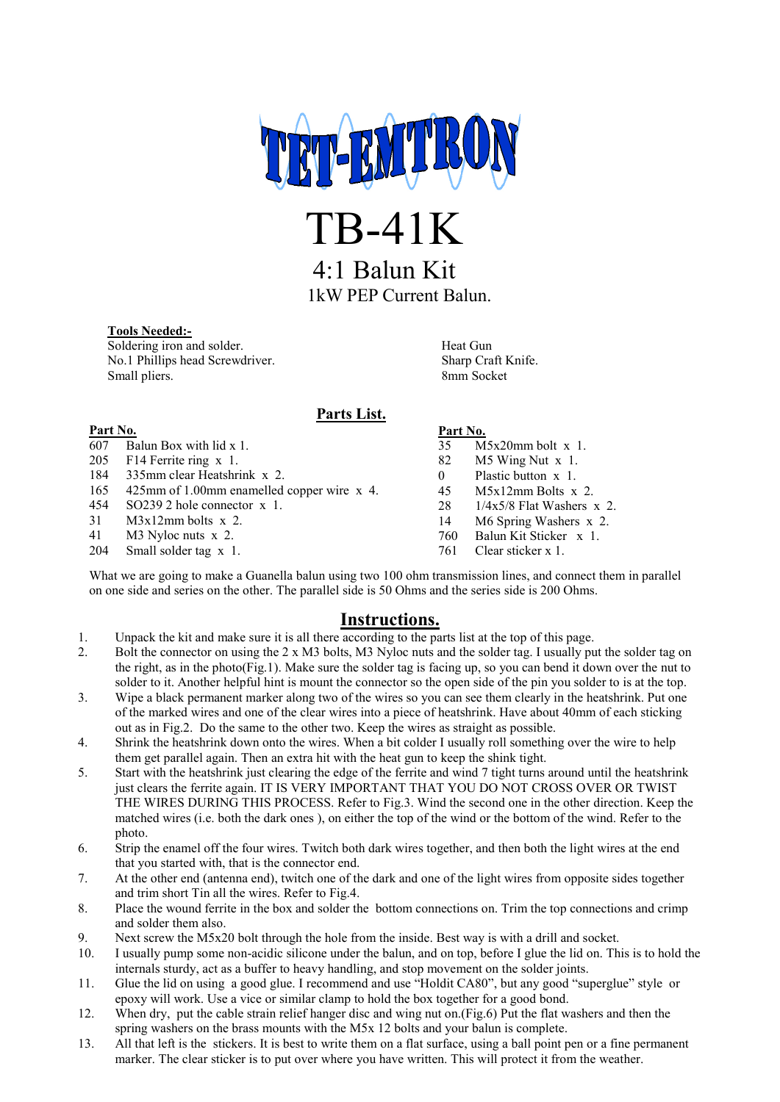

TB-41K 4:1 Balun Kit

# 1kW PEP Current Balun.

#### **Tools Needed:-**

Soldering iron and solder. Heat Gun No.1 Phillips head Screwdriver. Sharp Craft Knife. Small pliers. 8mm Socket

#### **Parts List.**

## **Part No.**

- $\overline{607}$  Balun Box with lid x 1. 205 F14 Ferrite ring x 1.
- 184 335mm clear Heatshrink x 2.
- 165 425mm of 1.00mm enamelled copper wire x 4.
- 454 SO239 2 hole connector x 1.
- 31 M3x12mm bolts x 2.
- 41 M3 Nyloc nuts x 2.
- 204 Small solder tag x 1.

**Part No.**

 M5x20mm bolt x 1. M5 Wing Nut x 1. Plastic button x 1. M5x12mm Bolts x 2. 1/4x5/8 Flat Washers x 2. M6 Spring Washers x 2. Balun Kit Sticker x 1. Clear sticker x 1.

What we are going to make a Guanella balun using two 100 ohm transmission lines, and connect them in parallel on one side and series on the other. The parallel side is 50 Ohms and the series side is 200 Ohms.

### **Instructions.**

- 1. Unpack the kit and make sure it is all there according to the parts list at the top of this page.
- 2. Bolt the connector on using the 2 x M3 bolts, M3 Nyloc nuts and the solder tag. I usually put the solder tag on the right, as in the photo(Fig.1). Make sure the solder tag is facing up, so you can bend it down over the nut to solder to it. Another helpful hint is mount the connector so the open side of the pin you solder to is at the top.
- 3. Wipe a black permanent marker along two of the wires so you can see them clearly in the heatshrink. Put one of the marked wires and one of the clear wires into a piece of heatshrink. Have about 40mm of each sticking out as in Fig.2. Do the same to the other two. Keep the wires as straight as possible.
- 4. Shrink the heatshrink down onto the wires. When a bit colder I usually roll something over the wire to help them get parallel again. Then an extra hit with the heat gun to keep the shink tight.
- 5. Start with the heatshrink just clearing the edge of the ferrite and wind 7 tight turns around until the heatshrink just clears the ferrite again. IT IS VERY IMPORTANT THAT YOU DO NOT CROSS OVER OR TWIST THE WIRES DURING THIS PROCESS. Refer to Fig.3. Wind the second one in the other direction. Keep the matched wires (i.e. both the dark ones ), on either the top of the wind or the bottom of the wind. Refer to the photo.
- 6. Strip the enamel off the four wires. Twitch both dark wires together, and then both the light wires at the end that you started with, that is the connector end.
- 7. At the other end (antenna end), twitch one of the dark and one of the light wires from opposite sides together and trim short Tin all the wires. Refer to Fig.4.
- 8. Place the wound ferrite in the box and solder the bottom connections on. Trim the top connections and crimp and solder them also.
- 9. Next screw the M5x20 bolt through the hole from the inside. Best way is with a drill and socket.
- 10. I usually pump some non-acidic silicone under the balun, and on top, before I glue the lid on. This is to hold the internals sturdy, act as a buffer to heavy handling, and stop movement on the solder joints.
- 11. Glue the lid on using a good glue. I recommend and use "Holdit CA80", but any good "superglue" style or epoxy will work. Use a vice or similar clamp to hold the box together for a good bond.
- 12. When dry, put the cable strain relief hanger disc and wing nut on.(Fig.6) Put the flat washers and then the spring washers on the brass mounts with the M5x 12 bolts and your balun is complete.
- 13. All that left is the stickers. It is best to write them on a flat surface, using a ball point pen or a fine permanent marker. The clear sticker is to put over where you have written. This will protect it from the weather.